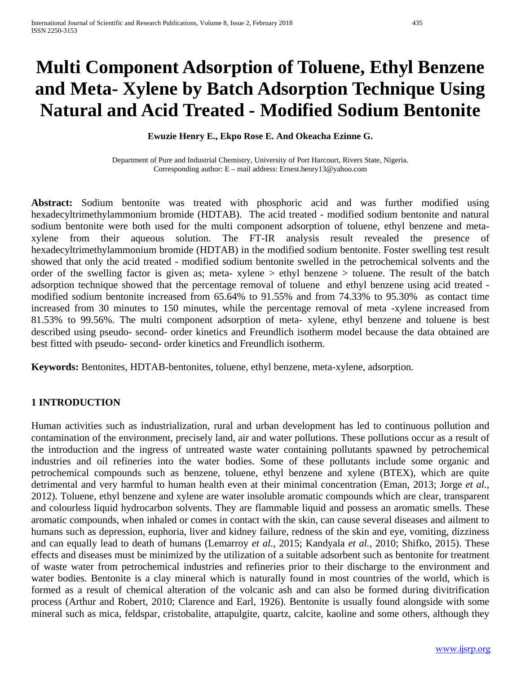# **Multi Component Adsorption of Toluene, Ethyl Benzene and Meta- Xylene by Batch Adsorption Technique Using Natural and Acid Treated - Modified Sodium Bentonite**

#### **Ewuzie Henry E., Ekpo Rose E. And Okeacha Ezinne G.**

Department of Pure and Industrial Chemistry, University of Port Harcourt, Rivers State, Nigeria. Corresponding author: E – mail address: Ernest.henry13@yahoo.com

**Abstract:** Sodium bentonite was treated with phosphoric acid and was further modified using hexadecyltrimethylammonium bromide (HDTAB). The acid treated - modified sodium bentonite and natural sodium bentonite were both used for the multi component adsorption of toluene, ethyl benzene and metaxylene from their aqueous solution. The FT-IR analysis result revealed the presence of hexadecyltrimethylammonium bromide (HDTAB) in the modified sodium bentonite. Foster swelling test result showed that only the acid treated - modified sodium bentonite swelled in the petrochemical solvents and the order of the swelling factor is given as; meta- xylene > ethyl benzene > toluene. The result of the batch adsorption technique showed that the percentage removal of toluene and ethyl benzene using acid treated modified sodium bentonite increased from 65.64% to 91.55% and from 74.33% to 95.30% as contact time increased from 30 minutes to 150 minutes, while the percentage removal of meta -xylene increased from 81.53% to 99.56%. The multi component adsorption of meta- xylene, ethyl benzene and toluene is best described using pseudo- second- order kinetics and Freundlich isotherm model because the data obtained are best fitted with pseudo- second- order kinetics and Freundlich isotherm.

**Keywords:** Bentonites, HDTAB-bentonites, toluene, ethyl benzene, meta-xylene, adsorption.

## **1 INTRODUCTION**

Human activities such as industrialization, rural and urban development has led to continuous pollution and contamination of the environment, precisely land, air and water pollutions. These pollutions occur as a result of the introduction and the ingress of untreated waste water containing pollutants spawned by petrochemical industries and oil refineries into the water bodies. Some of these pollutants include some organic and petrochemical compounds such as benzene, toluene, ethyl benzene and xylene (BTEX), which are quite detrimental and very harmful to human health even at their minimal concentration (Eman, 2013; Jorge *et al.*, 2012). Toluene, ethyl benzene and xylene are water insoluble aromatic compounds which are clear, transparent and colourless liquid hydrocarbon solvents. They are flammable liquid and possess an aromatic smells. These aromatic compounds, when inhaled or comes in contact with the skin, can cause several diseases and ailment to humans such as depression, euphoria, liver and kidney failure, redness of the skin and eye, vomiting, dizziness and can equally lead to death of humans (Lemarroy *et al.*, 2015; Kandyala *et al.*, 2010; Shifko, 2015). These effects and diseases must be minimized by the utilization of a suitable adsorbent such as bentonite for treatment of waste water from petrochemical industries and refineries prior to their discharge to the environment and water bodies. Bentonite is a clay mineral which is naturally found in most countries of the world, which is formed as a result of chemical alteration of the volcanic ash and can also be formed during divitrification process (Arthur and Robert, 2010; Clarence and Earl, 1926). Bentonite is usually found alongside with some mineral such as mica, feldspar, cristobalite, attapulgite, quartz, calcite, kaoline and some others, although they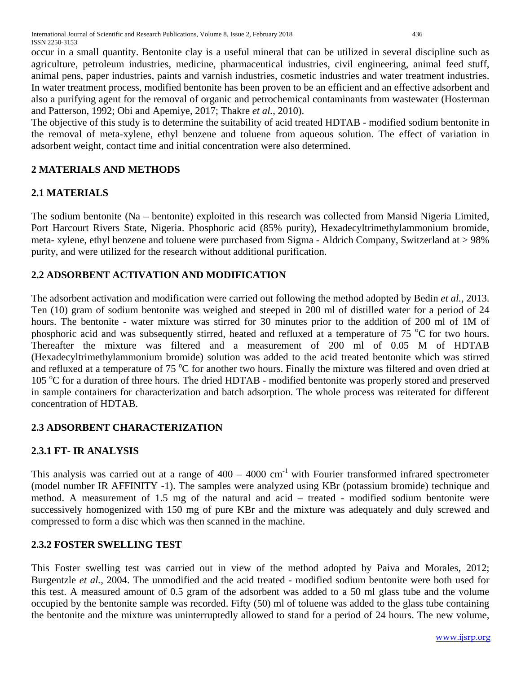occur in a small quantity. Bentonite clay is a useful mineral that can be utilized in several discipline such as agriculture, petroleum industries, medicine, pharmaceutical industries, civil engineering, animal feed stuff, animal pens, paper industries, paints and varnish industries, cosmetic industries and water treatment industries. In water treatment process, modified bentonite has been proven to be an efficient and an effective adsorbent and also a purifying agent for the removal of organic and petrochemical contaminants from wastewater (Hosterman and Patterson, 1992; Obi and Apemiye, 2017; Thakre *et al.*, 2010).

The objective of this study is to determine the suitability of acid treated HDTAB - modified sodium bentonite in the removal of meta-xylene, ethyl benzene and toluene from aqueous solution. The effect of variation in adsorbent weight, contact time and initial concentration were also determined.

# **2 MATERIALS AND METHODS**

# **2.1 MATERIALS**

The sodium bentonite (Na – bentonite) exploited in this research was collected from Mansid Nigeria Limited, Port Harcourt Rivers State, Nigeria. Phosphoric acid (85% purity), Hexadecyltrimethylammonium bromide, meta- xylene, ethyl benzene and toluene were purchased from Sigma - Aldrich Company, Switzerland at > 98% purity, and were utilized for the research without additional purification.

# **2.2 ADSORBENT ACTIVATION AND MODIFICATION**

The adsorbent activation and modification were carried out following the method adopted by Bedin *et al.*, 2013. Ten (10) gram of sodium bentonite was weighed and steeped in 200 ml of distilled water for a period of 24 hours. The bentonite - water mixture was stirred for 30 minutes prior to the addition of 200 ml of 1M of phosphoric acid and was subsequently stirred, heated and refluxed at a temperature of 75 °C for two hours. Thereafter the mixture was filtered and a measurement of 200 ml of 0.05 M of HDTAB (Hexadecyltrimethylammonium bromide) solution was added to the acid treated bentonite which was stirred and refluxed at a temperature of 75  $\rm{^{\circ}C}$  for another two hours. Finally the mixture was filtered and oven dried at 105 °C for a duration of three hours. The dried HDTAB - modified bentonite was properly stored and preserved in sample containers for characterization and batch adsorption. The whole process was reiterated for different concentration of HDTAB.

# **2.3 ADSORBENT CHARACTERIZATION**

# **2.3.1 FT- IR ANALYSIS**

This analysis was carried out at a range of  $400 - 4000$  cm<sup>-1</sup> with Fourier transformed infrared spectrometer (model number IR AFFINITY -1). The samples were analyzed using KBr (potassium bromide) technique and method. A measurement of 1.5 mg of the natural and acid – treated - modified sodium bentonite were successively homogenized with 150 mg of pure KBr and the mixture was adequately and duly screwed and compressed to form a disc which was then scanned in the machine.

# **2.3.2 FOSTER SWELLING TEST**

This Foster swelling test was carried out in view of the method adopted by Paiva and Morales, 2012; Burgentzle *et al.*, 2004. The unmodified and the acid treated - modified sodium bentonite were both used for this test. A measured amount of 0.5 gram of the adsorbent was added to a 50 ml glass tube and the volume occupied by the bentonite sample was recorded. Fifty (50) ml of toluene was added to the glass tube containing the bentonite and the mixture was uninterruptedly allowed to stand for a period of 24 hours. The new volume,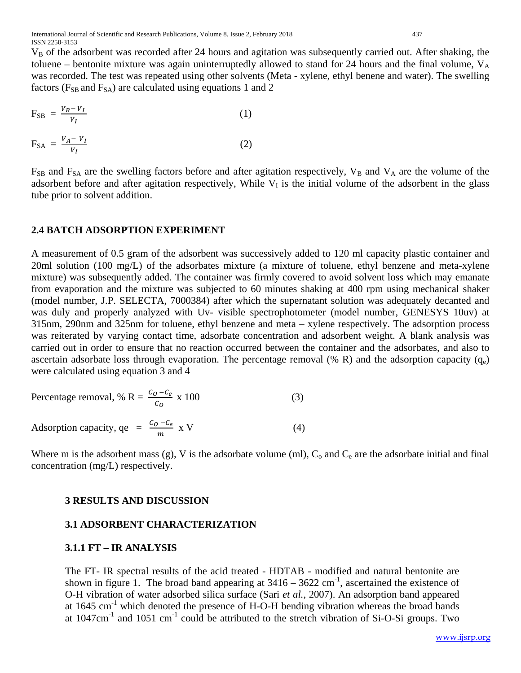$V_B$  of the adsorbent was recorded after 24 hours and agitation was subsequently carried out. After shaking, the toluene – bentonite mixture was again uninterruptedly allowed to stand for 24 hours and the final volume,  $V_A$ was recorded. The test was repeated using other solvents (Meta - xylene, ethyl benene and water). The swelling factors ( $F_{SB}$  and  $F_{SA}$ ) are calculated using equations 1 and 2

$$
F_{SB} = \frac{v_B - v_I}{v_I}
$$
\n
$$
F_{SA} = \frac{v_A - v_I}{v}
$$
\n(1)

 $F_{SB}$  and  $F_{SA}$  are the swelling factors before and after agitation respectively,  $V_B$  and  $V_A$  are the volume of the adsorbent before and after agitation respectively, While  $V<sub>I</sub>$  is the initial volume of the adsorbent in the glass tube prior to solvent addition.

## **2.4 BATCH ADSORPTION EXPERIMENT**

 $V_I$ 

A measurement of 0.5 gram of the adsorbent was successively added to 120 ml capacity plastic container and 20ml solution (100 mg/L) of the adsorbates mixture (a mixture of toluene, ethyl benzene and meta-xylene mixture) was subsequently added. The container was firmly covered to avoid solvent loss which may emanate from evaporation and the mixture was subjected to 60 minutes shaking at 400 rpm using mechanical shaker (model number, J.P. SELECTA, 7000384) after which the supernatant solution was adequately decanted and was duly and properly analyzed with Uv- visible spectrophotometer (model number, GENESYS 10uv) at 315nm, 290nm and 325nm for toluene, ethyl benzene and meta – xylene respectively. The adsorption process was reiterated by varying contact time, adsorbate concentration and adsorbent weight. A blank analysis was carried out in order to ensure that no reaction occurred between the container and the adsorbates, and also to ascertain adsorbate loss through evaporation. The percentage removal  $(\% R)$  and the adsorption capacity  $(q_e)$ were calculated using equation 3 and 4

Percentage removal, % R = 
$$
\frac{c_0 - c_e}{c_0}
$$
 x 100 (3)  
Adsorption capacity, qe =  $\frac{c_0 - c_e}{m}$  x V (4)

Where m is the adsorbent mass (g), V is the adsorbate volume (ml),  $C_0$  and  $C_e$  are the adsorbate initial and final concentration (mg/L) respectively.

## **3 RESULTS AND DISCUSSION**

## **3.1 ADSORBENT CHARACTERIZATION**

## **3.1.1 FT – IR ANALYSIS**

The FT- IR spectral results of the acid treated - HDTAB - modified and natural bentonite are shown in figure 1. The broad band appearing at  $3416 - 3622$  cm<sup>-1</sup>, ascertained the existence of O-H vibration of water adsorbed silica surface (Sari *et al.,* 2007). An adsorption band appeared at  $1645 \text{ cm}^{-1}$  which denoted the presence of H-O-H bending vibration whereas the broad bands at  $1047 \text{cm}^{-1}$  and  $1051 \text{cm}^{-1}$  could be attributed to the stretch vibration of Si-O-Si groups. Two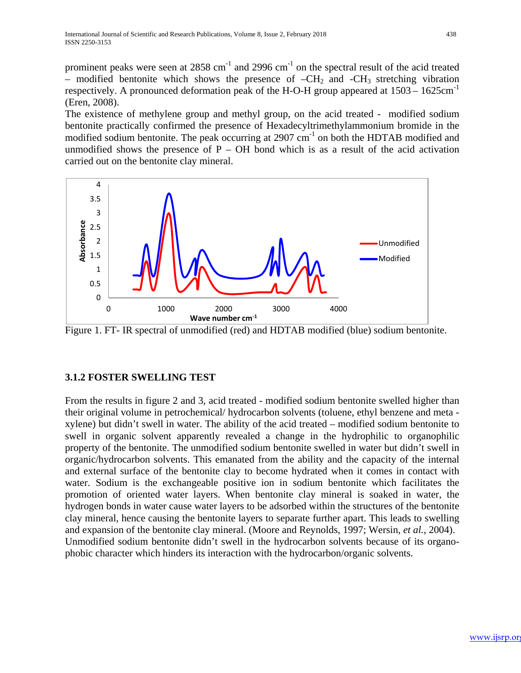prominent peaks were seen at  $2858 \text{ cm}^{-1}$  and  $2996 \text{ cm}^{-1}$  on the spectral result of the acid treated – modified bentonite which shows the presence of  $-CH_2$  and  $-CH_3$  stretching vibration respectively. A pronounced deformation peak of the H-O-H group appeared at 1503 – 1625cm-1 (Eren, 2008).

The existence of methylene group and methyl group, on the acid treated - modified sodium bentonite practically confirmed the presence of Hexadecyltrimethylammonium bromide in the modified sodium bentonite. The peak occurring at  $2907 \text{ cm}^{-1}$  on both the HDTAB modified and unmodified shows the presence of  $P - OH$  bond which is as a result of the acid activation carried out on the bentonite clay mineral.



Figure 1. FT- IR spectral of unmodified (red) and HDTAB modified (blue) sodium bentonite.

# **3.1.2 FOSTER SWELLING TEST**

From the results in figure 2 and 3, acid treated - modified sodium bentonite swelled higher than their original volume in petrochemical/ hydrocarbon solvents (toluene, ethyl benzene and meta xylene) but didn't swell in water. The ability of the acid treated – modified sodium bentonite to swell in organic solvent apparently revealed a change in the hydrophilic to organophilic property of the bentonite. The unmodified sodium bentonite swelled in water but didn't swell in organic/hydrocarbon solvents. This emanated from the ability and the capacity of the internal and external surface of the bentonite clay to become hydrated when it comes in contact with water. Sodium is the exchangeable positive ion in sodium bentonite which facilitates the promotion of oriented water layers. When bentonite clay mineral is soaked in water, the hydrogen bonds in water cause water layers to be adsorbed within the structures of the bentonite clay mineral, hence causing the bentonite layers to separate further apart. This leads to swelling and expansion of the bentonite clay mineral. (Moore and Reynolds, 1997; Wersin, *et al.*, 2004). Unmodified sodium bentonite didn't swell in the hydrocarbon solvents because of its organophobic character which hinders its interaction with the hydrocarbon/organic solvents.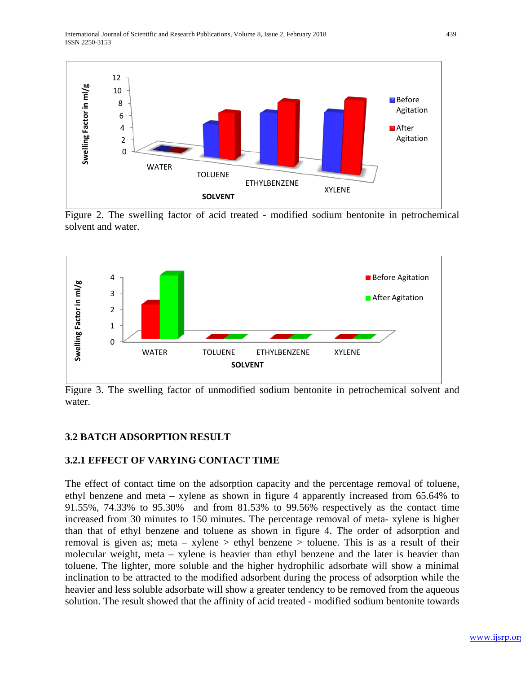

Figure 2. The swelling factor of acid treated - modified sodium bentonite in petrochemical solvent and water.



Figure 3. The swelling factor of unmodified sodium bentonite in petrochemical solvent and water.

# **3.2 BATCH ADSORPTION RESULT**

# **3.2.1 EFFECT OF VARYING CONTACT TIME**

The effect of contact time on the adsorption capacity and the percentage removal of toluene, ethyl benzene and meta – xylene as shown in figure 4 apparently increased from 65.64% to 91.55%, 74.33% to 95.30% and from 81.53% to 99.56% respectively as the contact time increased from 30 minutes to 150 minutes. The percentage removal of meta- xylene is higher than that of ethyl benzene and toluene as shown in figure 4. The order of adsorption and removal is given as; meta – xylene > ethyl benzene > toluene. This is as a result of their molecular weight, meta – xylene is heavier than ethyl benzene and the later is heavier than toluene. The lighter, more soluble and the higher hydrophilic adsorbate will show a minimal inclination to be attracted to the modified adsorbent during the process of adsorption while the heavier and less soluble adsorbate will show a greater tendency to be removed from the aqueous solution. The result showed that the affinity of acid treated - modified sodium bentonite towards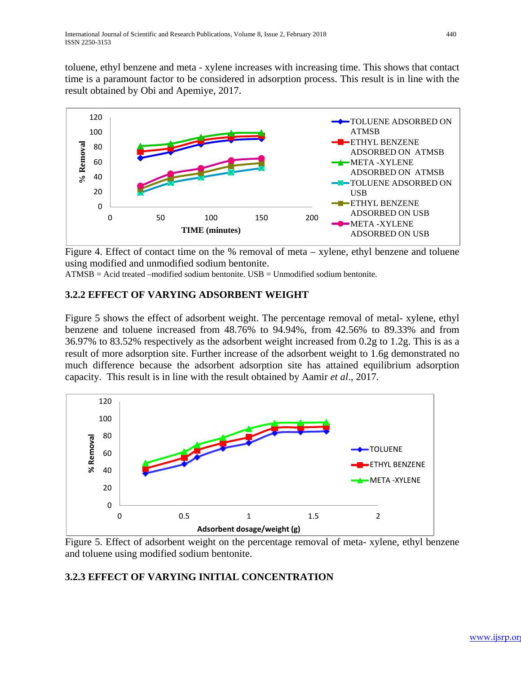toluene, ethyl benzene and meta - xylene increases with increasing time. This shows that contact time is a paramount factor to be considered in adsorption process. This result is in line with the result obtained by Obi and Apemiye, 2017.



Figure 4. Effect of contact time on the % removal of meta – xylene, ethyl benzene and toluene using modified and unmodified sodium bentonite.

 $ATMSB = Acid$  treated –modified sodium bentonite.  $USB =$  Unmodified sodium bentonite.

# **3.2.2 EFFECT OF VARYING ADSORBENT WEIGHT**

Figure 5 shows the effect of adsorbent weight. The percentage removal of metal- xylene, ethyl benzene and toluene increased from 48.76% to 94.94%, from 42.56% to 89.33% and from 36.97% to 83.52% respectively as the adsorbent weight increased from 0.2g to 1.2g. This is as a result of more adsorption site. Further increase of the adsorbent weight to 1.6g demonstrated no much difference because the adsorbent adsorption site has attained equilibrium adsorption capacity. This result is in line with the result obtained by Aamir *et al*., 2017.



Figure 5. Effect of adsorbent weight on the percentage removal of meta- xylene, ethyl benzene and toluene using modified sodium bentonite.

# **3.2.3 EFFECT OF VARYING INITIAL CONCENTRATION**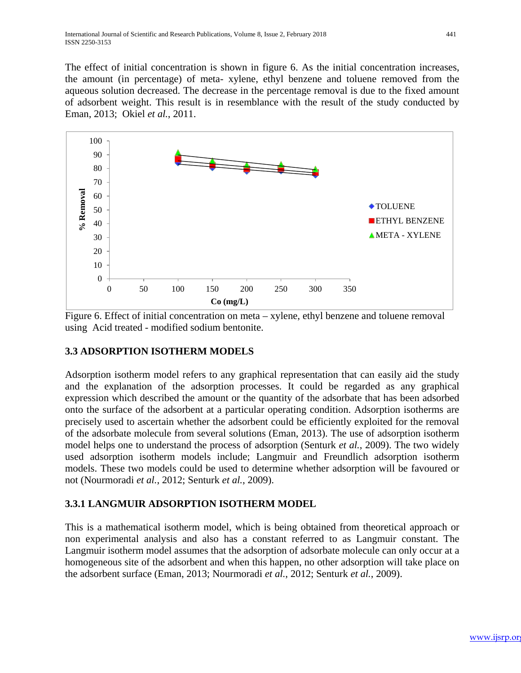The effect of initial concentration is shown in figure 6. As the initial concentration increases, the amount (in percentage) of meta- xylene, ethyl benzene and toluene removed from the aqueous solution decreased. The decrease in the percentage removal is due to the fixed amount of adsorbent weight. This result is in resemblance with the result of the study conducted by Eman, 2013; Okiel *et al.*, 2011.



Figure 6. Effect of initial concentration on meta – xylene, ethyl benzene and toluene removal using Acid treated - modified sodium bentonite.

# **3.3 ADSORPTION ISOTHERM MODELS**

Adsorption isotherm model refers to any graphical representation that can easily aid the study and the explanation of the adsorption processes. It could be regarded as any graphical expression which described the amount or the quantity of the adsorbate that has been adsorbed onto the surface of the adsorbent at a particular operating condition. Adsorption isotherms are precisely used to ascertain whether the adsorbent could be efficiently exploited for the removal of the adsorbate molecule from several solutions (Eman, 2013). The use of adsorption isotherm model helps one to understand the process of adsorption (Senturk *et al.*, 2009). The two widely used adsorption isotherm models include; Langmuir and Freundlich adsorption isotherm models. These two models could be used to determine whether adsorption will be favoured or not (Nourmoradi *et al.*, 2012; Senturk *et al.*, 2009).

# **3.3.1 LANGMUIR ADSORPTION ISOTHERM MODEL**

This is a mathematical isotherm model, which is being obtained from theoretical approach or non experimental analysis and also has a constant referred to as Langmuir constant. The Langmuir isotherm model assumes that the adsorption of adsorbate molecule can only occur at a homogeneous site of the adsorbent and when this happen, no other adsorption will take place on the adsorbent surface (Eman, 2013; Nourmoradi *et al.*, 2012; Senturk *et al.*, 2009).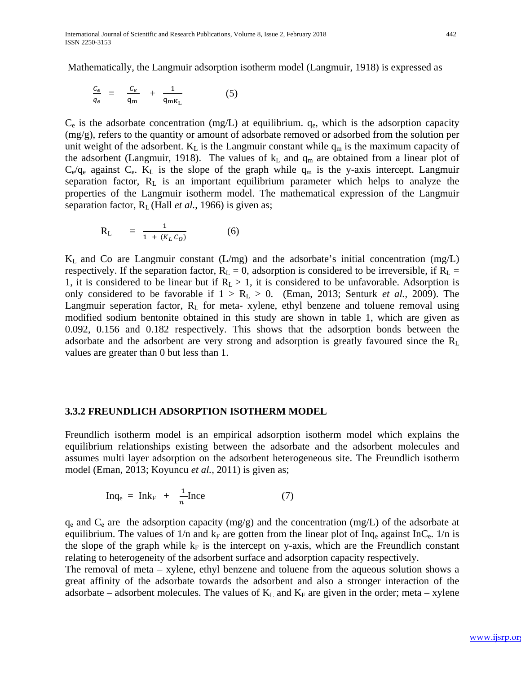Mathematically, the Langmuir adsorption isotherm model (Langmuir, 1918) is expressed as

$$
\frac{c_e}{q_e} = \frac{c_e}{q_m} + \frac{1}{q_{mK_L}} \tag{5}
$$

 $C_e$  is the adsorbate concentration (mg/L) at equilibrium.  $q_e$ , which is the adsorption capacity (mg/g), refers to the quantity or amount of adsorbate removed or adsorbed from the solution per unit weight of the adsorbent.  $K_L$  is the Langmuir constant while  $q_m$  is the maximum capacity of the adsorbent (Langmuir, 1918). The values of  $k<sub>L</sub>$  and  $q<sub>m</sub>$  are obtained from a linear plot of  $C_e/q_e$  against  $C_e$ . K<sub>L</sub> is the slope of the graph while  $q_m$  is the y-axis intercept. Langmuir separation factor, RL is an important equilibrium parameter which helps to analyze the properties of the Langmuir isotherm model. The mathematical expression of the Langmuir separation factor, RL (Hall *et al.*, 1966) is given as;

$$
R_{L} = \frac{1}{1 + (K_{L} c_{0})}
$$
 (6)

 $K_L$  and Co are Langmuir constant (L/mg) and the adsorbate's initial concentration (mg/L) respectively. If the separation factor,  $R_L = 0$ , adsorption is considered to be irreversible, if  $R_L =$ 1, it is considered to be linear but if  $R_L > 1$ , it is considered to be unfavorable. Adsorption is only considered to be favorable if  $1 > R_L > 0$ . (Eman, 2013; Senturk *et al.*, 2009). The Langmuir seperation factor,  $R_L$  for meta- xylene, ethyl benzene and toluene removal using modified sodium bentonite obtained in this study are shown in table 1, which are given as 0.092, 0.156 and 0.182 respectively. This shows that the adsorption bonds between the adsorbate and the adsorbent are very strong and adsorption is greatly favoured since the  $R_L$ values are greater than 0 but less than 1.

## **3.3.2 FREUNDLICH ADSORPTION ISOTHERM MODEL**

Freundlich isotherm model is an empirical adsorption isotherm model which explains the equilibrium relationships existing between the adsorbate and the adsorbent molecules and assumes multi layer adsorption on the adsorbent heterogeneous site. The Freundlich isotherm model (Eman, 2013; Koyuncu *et al.,* 2011) is given as;

$$
\text{Inq}_e = \text{Ink}_F + \frac{1}{n}\text{Ince} \tag{7}
$$

 $q_e$  and  $C_e$  are the adsorption capacity (mg/g) and the concentration (mg/L) of the adsorbate at equilibrium. The values of  $1/n$  and  $k_F$  are gotten from the linear plot of Inq<sub>e</sub> against InC<sub>e</sub>.  $1/n$  is the slope of the graph while  $k_F$  is the intercept on y-axis, which are the Freundlich constant relating to heterogeneity of the adsorbent surface and adsorption capacity respectively.

The removal of meta – xylene, ethyl benzene and toluene from the aqueous solution shows a great affinity of the adsorbate towards the adsorbent and also a stronger interaction of the adsorbate – adsorbent molecules. The values of  $K_L$  and  $K_F$  are given in the order; meta – xylene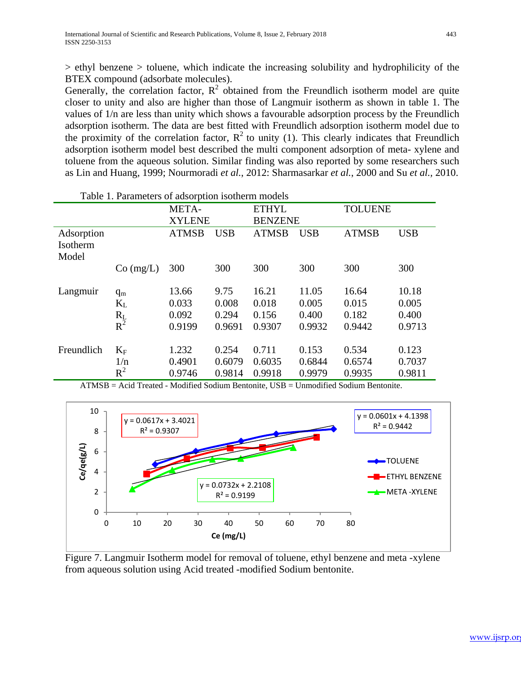> ethyl benzene > toluene, which indicate the increasing solubility and hydrophilicity of the BTEX compound (adsorbate molecules).

Generally, the correlation factor,  $R^2$  obtained from the Freundlich isotherm model are quite closer to unity and also are higher than those of Langmuir isotherm as shown in table 1. The values of 1/n are less than unity which shows a favourable adsorption process by the Freundlich adsorption isotherm. The data are best fitted with Freundlich adsorption isotherm model due to the proximity of the correlation factor,  $R^2$  to unity (1). This clearly indicates that Freundlich adsorption isotherm model best described the multi component adsorption of meta- xylene and toluene from the aqueous solution. Similar finding was also reported by some researchers such as Lin and Huang, 1999; Nourmoradi *et al.*, 2012: Sharmasarkar *et al.*, 2000 and Su *et al.,* 2010.

| Table 1. Parameters of adsorption isotherm models |                    |                       |            |                |                |              |            |
|---------------------------------------------------|--------------------|-----------------------|------------|----------------|----------------|--------------|------------|
|                                                   |                    | META-<br><b>ETHYL</b> |            |                | <b>TOLUENE</b> |              |            |
|                                                   |                    | <b>XYLENE</b>         |            | <b>BENZENE</b> |                |              |            |
| Adsorption                                        |                    | <b>ATMSB</b>          | <b>USB</b> | <b>ATMSB</b>   | <b>USB</b>     | <b>ATMSB</b> | <b>USB</b> |
| Isotherm                                          |                    |                       |            |                |                |              |            |
| Model                                             |                    |                       |            |                |                |              |            |
|                                                   | $Co$ (mg/L)        | 300                   | 300        | 300            | 300            | 300          | 300        |
|                                                   |                    |                       |            |                |                |              |            |
| Langmuir                                          | $q_m$              | 13.66                 | 9.75       | 16.21          | 11.05          | 16.64        | 10.18      |
|                                                   | $K_{L}$            | 0.033                 | 0.008      | 0.018          | 0.005          | 0.015        | 0.005      |
|                                                   | $R_{L}$<br>$R^{2}$ | 0.092                 | 0.294      | 0.156          | 0.400          | 0.182        | 0.400      |
|                                                   |                    | 0.9199                | 0.9691     | 0.9307         | 0.9932         | 0.9442       | 0.9713     |
|                                                   |                    |                       |            |                |                |              |            |
| Freundlich                                        | $K_F$              | 1.232                 | 0.254      | 0.711          | 0.153          | 0.534        | 0.123      |
|                                                   | 1/n                | 0.4901                | 0.6079     | 0.6035         | 0.6844         | 0.6574       | 0.7037     |
|                                                   | $R^2$              | 0.9746                | 0.9814     | 0.9918         | 0.9979         | 0.9935       | 0.9811     |

ATMSB = Acid Treated - Modified Sodium Bentonite, USB = Unmodified Sodium Bentonite.



Figure 7. Langmuir Isotherm model for removal of toluene, ethyl benzene and meta -xylene from aqueous solution using Acid treated -modified Sodium bentonite.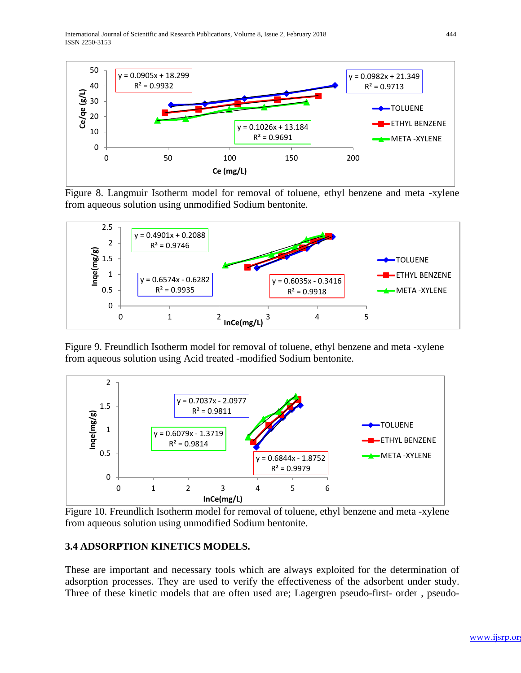International Journal of Scientific and Research Publications, Volume 8, Issue 2, February 2018 444 ISSN 2250-3153



Figure 8. Langmuir Isotherm model for removal of toluene, ethyl benzene and meta -xylene from aqueous solution using unmodified Sodium bentonite.



Figure 9. Freundlich Isotherm model for removal of toluene, ethyl benzene and meta -xylene from aqueous solution using Acid treated -modified Sodium bentonite.



Figure 10. Freundlich Isotherm model for removal of toluene, ethyl benzene and meta -xylene from aqueous solution using unmodified Sodium bentonite.

# **3.4 ADSORPTION KINETICS MODELS.**

These are important and necessary tools which are always exploited for the determination of adsorption processes. They are used to verify the effectiveness of the adsorbent under study. Three of these kinetic models that are often used are; Lagergren pseudo-first- order , pseudo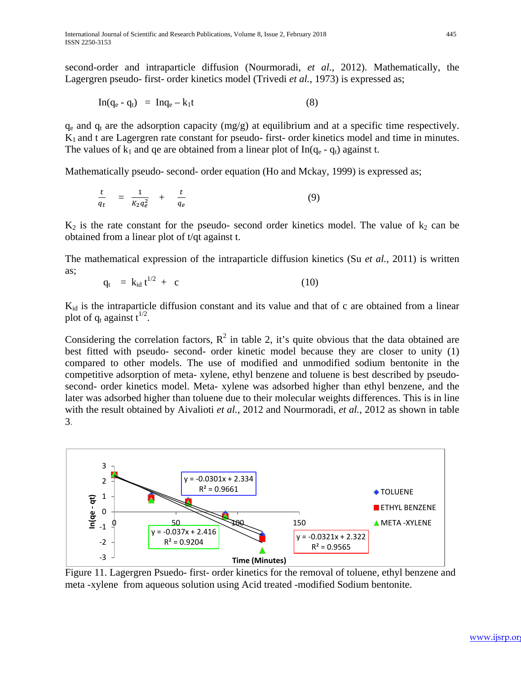second-order and intraparticle diffusion (Nourmoradi, *et al.*, 2012). Mathematically, the Lagergren pseudo- first- order kinetics model (Trivedi *et al.*, 1973) is expressed as;

$$
\text{In}(q_e - q_t) = \text{In}q_e - k_1t \tag{8}
$$

 $q_e$  and  $q_t$  are the adsorption capacity (mg/g) at equilibrium and at a specific time respectively. K1 and t are Lagergren rate constant for pseudo- first- order kinetics model and time in minutes. The values of  $k_1$  and qe are obtained from a linear plot of In( $q_e$  -  $q_t$ ) against t.

Mathematically pseudo- second- order equation (Ho and Mckay, 1999) is expressed as;

$$
\frac{t}{q_t} = \frac{1}{K_2 q_e^2} + \frac{t}{q_e} \tag{9}
$$

 $K_2$  is the rate constant for the pseudo- second order kinetics model. The value of  $k_2$  can be obtained from a linear plot of t/qt against t.

The mathematical expression of the intraparticle diffusion kinetics (Su *et al.*, 2011) is written as;

$$
q_t = k_{id} t^{1/2} + c \tag{10}
$$

 $K_{id}$  is the intraparticle diffusion constant and its value and that of c are obtained from a linear plot of  $q_t$  against  $t^{1/2}$ .

Considering the correlation factors,  $R^2$  in table 2, it's quite obvious that the data obtained are best fitted with pseudo- second- order kinetic model because they are closer to unity (1) compared to other models. The use of modified and unmodified sodium bentonite in the competitive adsorption of meta- xylene, ethyl benzene and toluene is best described by pseudosecond- order kinetics model. Meta- xylene was adsorbed higher than ethyl benzene, and the later was adsorbed higher than toluene due to their molecular weights differences. This is in line with the result obtained by Aivalioti *et al.,* 2012 and Nourmoradi, *et al.*, 2012 as shown in table 3.



Figure 11. Lagergren Psuedo- first- order kinetics for the removal of toluene, ethyl benzene and meta -xylene from aqueous solution using Acid treated -modified Sodium bentonite.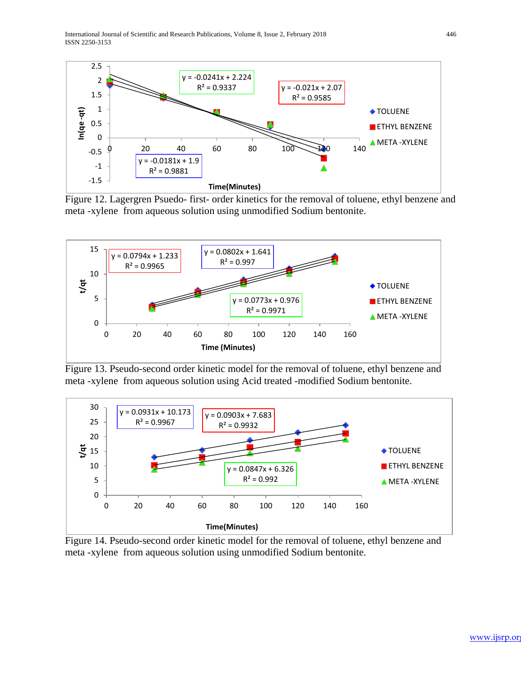International Journal of Scientific and Research Publications, Volume 8, Issue 2, February 2018 446 ISSN 2250-3153



Figure 12. Lagergren Psuedo- first- order kinetics for the removal of toluene, ethyl benzene and meta -xylene from aqueous solution using unmodified Sodium bentonite.



Figure 13. Pseudo-second order kinetic model for the removal of toluene, ethyl benzene and meta -xylene from aqueous solution using Acid treated -modified Sodium bentonite.



Figure 14. Pseudo-second order kinetic model for the removal of toluene, ethyl benzene and meta -xylene from aqueous solution using unmodified Sodium bentonite.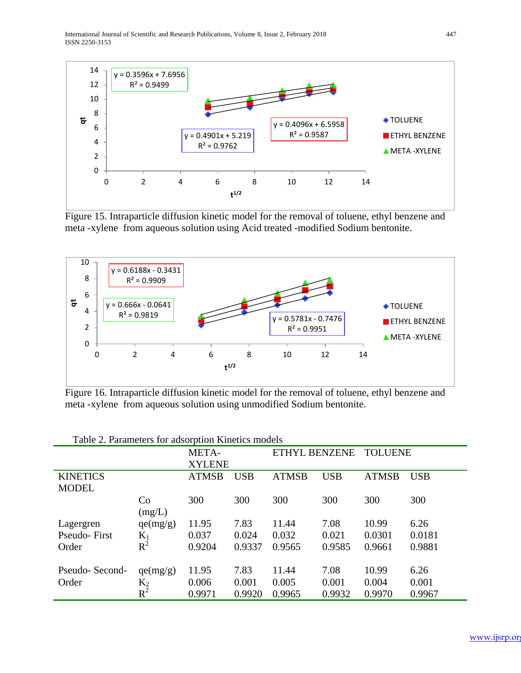International Journal of Scientific and Research Publications, Volume 8, Issue 2, February 2018 447 ISSN 2250-3153



Figure 15. Intraparticle diffusion kinetic model for the removal of toluene, ethyl benzene and meta -xylene from aqueous solution using Acid treated -modified Sodium bentonite.



Figure 16. Intraparticle diffusion kinetic model for the removal of toluene, ethyl benzene and meta -xylene from aqueous solution using unmodified Sodium bentonite.

|                                 |                   | META-<br><b>XYLENE</b> |            | <b>ETHYL BENZENE</b> |            | <b>TOLUENE</b> |            |
|---------------------------------|-------------------|------------------------|------------|----------------------|------------|----------------|------------|
| <b>KINETICS</b><br><b>MODEL</b> |                   | <b>ATMSB</b>           | <b>USB</b> | <b>ATMSB</b>         | <b>USB</b> | <b>ATMSB</b>   | <b>USB</b> |
|                                 | Co<br>(mg/L)      | 300                    | 300        | 300                  | 300        | 300            | 300        |
| Lagergren                       | qe(mg/g)          | 11.95                  | 7.83       | 11.44                | 7.08       | 10.99          | 6.26       |
| Pseudo-First                    | $K_1$             | 0.037                  | 0.024      | 0.032                | 0.021      | 0.0301         | 0.0181     |
| Order                           | $R^2$             | 0.9204                 | 0.9337     | 0.9565               | 0.9585     | 0.9661         | 0.9881     |
| Pseudo-Second-                  | qe(mg/g)          | 11.95                  | 7.83       | 11.44                | 7.08       | 10.99          | 6.26       |
| Order                           | $\frac{K_2}{R^2}$ | 0.006                  | 0.001      | 0.005                | 0.001      | 0.004          | 0.001      |
|                                 |                   | 0.9971                 | 0.9920     | 0.9965               | 0.9932     | 0.9970         | 0.9967     |

Table 2. Parameters for adsorption Kinetics models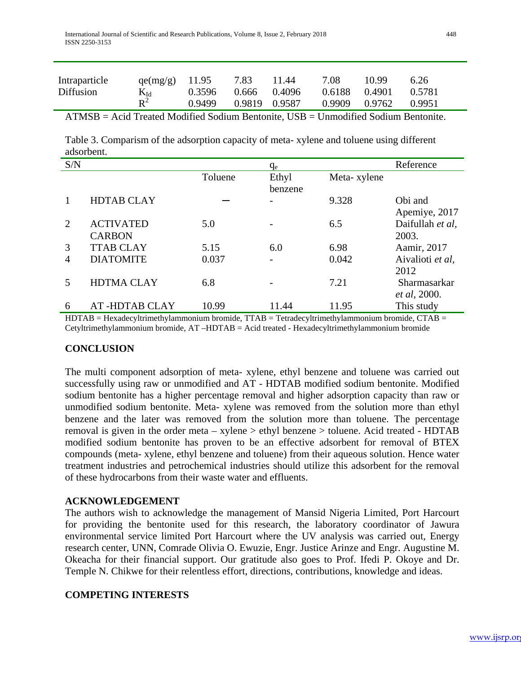| Intraparticle | $qe(mg/g)$ 11.95            |        | 7.83          | 11.44 | 7.08   | 10.99  | 6.26   |
|---------------|-----------------------------|--------|---------------|-------|--------|--------|--------|
| Diffusion     | $\frac{K_{\text{Id}}}{R^2}$ | 0.3596 | 0.666 0.4096  |       | 0.6188 | 0.4901 | 0.5781 |
|               |                             | 0.9499 | 0.9819 0.9587 |       | 0.9909 | 0.9762 | 0.9951 |
|               |                             |        |               |       |        |        |        |

ATMSB = Acid Treated Modified Sodium Bentonite, USB = Unmodified Sodium Bentonite.

Table 3. Comparism of the adsorption capacity of meta- xylene and toluene using different adsorbent.

| S/N                         |                      |         | q <sub>e</sub> |             | Reference        |
|-----------------------------|----------------------|---------|----------------|-------------|------------------|
|                             |                      | Toluene | Ethyl          | Meta-xylene |                  |
|                             |                      |         | benzene        |             |                  |
|                             | <b>HDTAB CLAY</b>    |         |                | 9.328       | Obi and          |
|                             |                      |         |                |             | Apemiye, 2017    |
| $\mathcal{D}_{\mathcal{L}}$ | <b>ACTIVATED</b>     | 5.0     |                | 6.5         | Daifullah et al, |
|                             | <b>CARBON</b>        |         |                |             | 2003.            |
| 3                           | <b>TTAB CLAY</b>     | 5.15    | 6.0            | 6.98        | Aamir, 2017      |
| 4                           | <b>DIATOMITE</b>     | 0.037   |                | 0.042       | Aivalioti et al, |
|                             |                      |         |                |             | 2012             |
|                             | <b>HDTMA CLAY</b>    | 6.8     |                | 7.21        | Sharmasarkar     |
|                             |                      |         |                |             | et al, 2000.     |
| 6                           | <b>AT-HDTAB CLAY</b> | 10.99   | 11.44          | 11.95       | This study       |

HDTAB = Hexadecyltrimethylammonium bromide, TTAB = Tetradecyltrimethylammonium bromide, CTAB = Cetyltrimethylammonium bromide, AT –HDTAB = Acid treated - Hexadecyltrimethylammonium bromide

## **CONCLUSION**

The multi component adsorption of meta- xylene, ethyl benzene and toluene was carried out successfully using raw or unmodified and AT - HDTAB modified sodium bentonite. Modified sodium bentonite has a higher percentage removal and higher adsorption capacity than raw or unmodified sodium bentonite. Meta- xylene was removed from the solution more than ethyl benzene and the later was removed from the solution more than toluene. The percentage removal is given in the order meta – xylene > ethyl benzene > toluene. Acid treated - HDTAB modified sodium bentonite has proven to be an effective adsorbent for removal of BTEX compounds (meta- xylene, ethyl benzene and toluene) from their aqueous solution. Hence water treatment industries and petrochemical industries should utilize this adsorbent for the removal of these hydrocarbons from their waste water and effluents.

## **ACKNOWLEDGEMENT**

The authors wish to acknowledge the management of Mansid Nigeria Limited, Port Harcourt for providing the bentonite used for this research, the laboratory coordinator of Jawura environmental service limited Port Harcourt where the UV analysis was carried out, Energy research center, UNN, Comrade Olivia O. Ewuzie, Engr. Justice Arinze and Engr. Augustine M. Okeacha for their financial support. Our gratitude also goes to Prof. Ifedi P. Okoye and Dr. Temple N. Chikwe for their relentless effort, directions, contributions, knowledge and ideas.

## **COMPETING INTERESTS**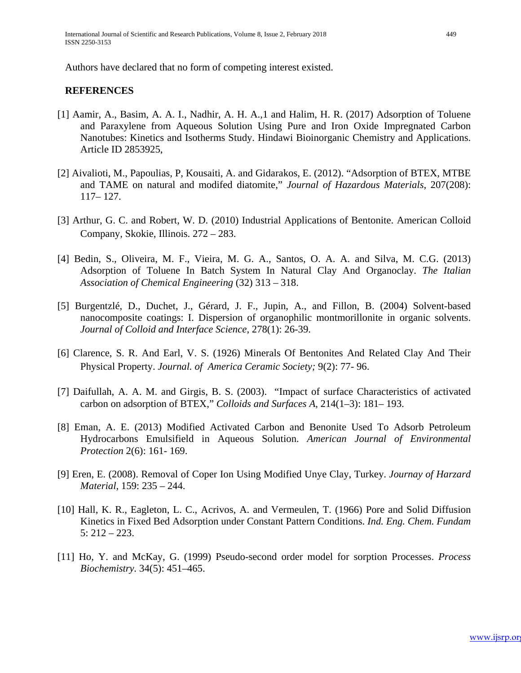Authors have declared that no form of competing interest existed.

## **REFERENCES**

- [1] Aamir, A., Basim, A. A. I., Nadhir, A. H. A.,1 and Halim, H. R. (2017) Adsorption of Toluene and Paraxylene from Aqueous Solution Using Pure and Iron Oxide Impregnated Carbon Nanotubes: Kinetics and Isotherms Study. Hindawi Bioinorganic Chemistry and Applications. Article ID 2853925,
- [2] Aivalioti, M., Papoulias, P, Kousaiti, A. and Gidarakos, E. (2012). "Adsorption of BTEX, MTBE and TAME on natural and modifed diatomite," *Journal of Hazardous Materials*, 207(208): 117– 127.
- [3] Arthur, G. C. and Robert, W. D. (2010) Industrial Applications of Bentonite. American Colloid Company, Skokie, Illinois. 272 – 283.
- [4] Bedin, S., Oliveira, M. F., Vieira, M. G. A., Santos, O. A. A. and Silva, M. C.G. (2013) Adsorption of Toluene In Batch System In Natural Clay And Organoclay. *The Italian Association of Chemical Engineering* (32) 313 – 318.
- [5] Burgentzlé, D., Duchet, J., Gérard, J. F., Jupin, A., and Fillon, B. (2004) Solvent-based nanocomposite coatings: I. Dispersion of organophilic montmorillonite in organic solvents. *Journal of Colloid and Interface Science*, 278(1): 26-39.
- [6] Clarence, S. R. And Earl, V. S. (1926) Minerals Of Bentonites And Related Clay And Their Physical Property. *Journal. of America Ceramic Society;* 9(2): 77- 96.
- [7] Daifullah, A. A. M. and Girgis, B. S. (2003). "Impact of surface Characteristics of activated carbon on adsorption of BTEX," *Colloids and Surfaces A*, 214(1–3): 181– 193.
- [8] Eman, A. E. (2013) Modified Activated Carbon and Benonite Used To Adsorb Petroleum Hydrocarbons Emulsifield in Aqueous Solution. *American Journal of Environmental Protection* 2(6): 161- 169.
- [9] Eren, E. (2008). Removal of Coper Ion Using Modified Unye Clay, Turkey. *Journay of Harzard Material,* 159: 235 – 244.
- [10] Hall, K. R., Eagleton, L. C., Acrivos, A. and Vermeulen, T. (1966) Pore and Solid Diffusion Kinetics in Fixed Bed Adsorption under Constant Pattern Conditions. *Ind. Eng. Chem. Fundam* 5: 212 – 223.
- [11] Ho, Y. and McKay, G. (1999) Pseudo-second order model for sorption Processes. *Process Biochemistry.* 34(5): 451–465.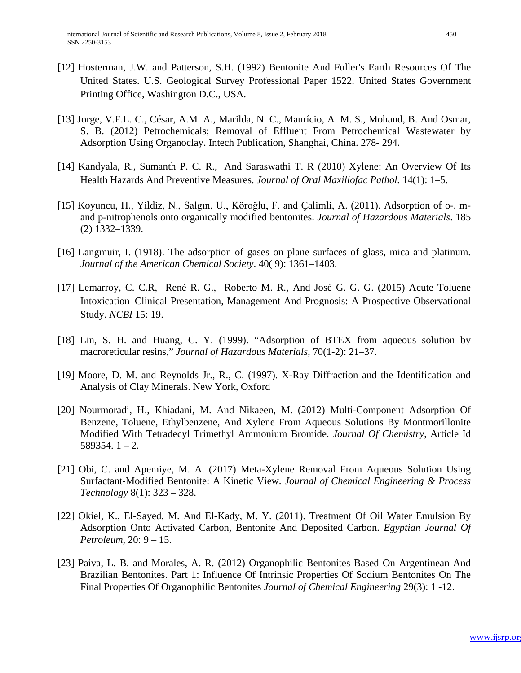- [12] Hosterman, J.W. and Patterson, S.H. (1992) Bentonite And Fuller's Earth Resources Of The United States. U.S. Geological Survey Professional Paper 1522. United States Government Printing Office, Washington D.C., USA.
- [13] Jorge, V.F.L. C., César, A.M. A., Marilda, N. C., Maurício, A. M. S., Mohand, B. And Osmar, S. B. (2012) Petrochemicals; Removal of Effluent From Petrochemical Wastewater by Adsorption Using Organoclay. Intech Publication, Shanghai, China. 278- 294.
- [14] [Kandyala,](https://www.ncbi.nlm.nih.gov/pubmed/?term=Kandyala%20R%5BAuthor%5D&cauthor=true&cauthor_uid=21180450) R., Sumanth P. C. R., And Saraswathi T. R (2010) Xylene: An Overview Of Its Health Hazards And Preventive Measures. *[Journal of Oral Maxillofac Pathol.](https://www.ncbi.nlm.nih.gov/pmc/articles/PMC2996004/)* 14(1): 1–5.
- [15] Koyuncu, H., Yildiz, N., Salgın, U., Köroğlu, F. and Çalimli, A. (2011). Adsorption of o-, mand p-nitrophenols onto organically modified bentonites. *Journal of Hazardous Materials*. 185 (2) 1332–1339.
- [16] Langmuir, I. (1918). The adsorption of gases on plane surfaces of glass, mica and platinum. *Journal of the American Chemical Society*. 40( 9): 1361–1403.
- [17] [Lemarroy,](https://www.ncbi.nlm.nih.gov/pubmed/?term=Camara-Lemarroy%20CR%5BAuthor%5D&cauthor=true&cauthor_uid=26282250) C. C.R, René R. G., Roberto M. R., And José G. G. G. (2015) Acute Toluene Intoxication–Clinical Presentation, Management And Prognosis: A Prospective Observational Study. *NCBI* 15: 19.
- [18] Lin, S. H. and Huang, C. Y. (1999). "Adsorption of BTEX from aqueous solution by macroreticular resins," *Journal of Hazardous Materials*, 70(1-2): 21–37.
- [19] Moore, D. M. and Reynolds Jr., R., C. (1997). X-Ray Diffraction and the Identification and Analysis of Clay Minerals. New York, Oxford
- [20] Nourmoradi, H., Khiadani, M. And Nikaeen, M. (2012) Multi-Component Adsorption Of Benzene, Toluene, Ethylbenzene, And Xylene From Aqueous Solutions By Montmorillonite Modified With Tetradecyl Trimethyl Ammonium Bromide. *Journal Of Chemistry*, Article Id  $589354.1 - 2.$
- [21] Obi, C. and Apemiye, M. A. (2017) Meta-Xylene Removal From Aqueous Solution Using Surfactant-Modified Bentonite: A Kinetic View. *Journal of Chemical Engineering & Process Technology* 8(1): 323 – 328.
- [22] Okiel, K., El-Sayed, M. And El-Kady, M. Y. (2011). Treatment Of Oil Water Emulsion By Adsorption Onto Activated Carbon, Bentonite And Deposited Carbon. *Egyptian Journal Of Petroleum*, 20: 9 – 15.
- [23] Paiva, L. B. and Morales, A. R. (2012) Organophilic Bentonites Based On Argentinean And Brazilian Bentonites. Part 1: Influence Of Intrinsic Properties Of Sodium Bentonites On The Final Properties Of Organophilic Bentonites *Journal of Chemical Engineering* 29(3): 1 -12.